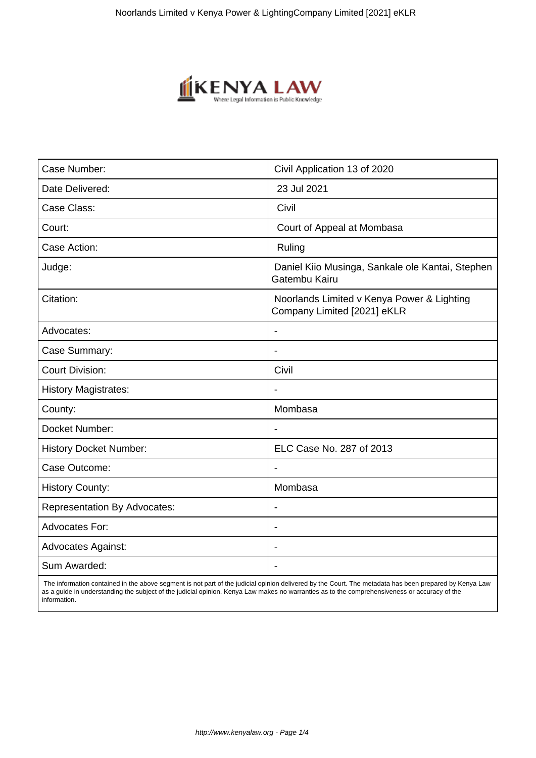

| Civil Application 13 of 2020                                              |
|---------------------------------------------------------------------------|
| 23 Jul 2021                                                               |
| Civil                                                                     |
| Court of Appeal at Mombasa                                                |
| Ruling                                                                    |
| Daniel Kiio Musinga, Sankale ole Kantai, Stephen<br>Gatembu Kairu         |
| Noorlands Limited v Kenya Power & Lighting<br>Company Limited [2021] eKLR |
|                                                                           |
| $\blacksquare$                                                            |
| Civil                                                                     |
|                                                                           |
| Mombasa                                                                   |
| $\overline{\phantom{a}}$                                                  |
| ELC Case No. 287 of 2013                                                  |
|                                                                           |
| Mombasa                                                                   |
| $\blacksquare$                                                            |
|                                                                           |
|                                                                           |
|                                                                           |
|                                                                           |

 The information contained in the above segment is not part of the judicial opinion delivered by the Court. The metadata has been prepared by Kenya Law as a guide in understanding the subject of the judicial opinion. Kenya Law makes no warranties as to the comprehensiveness or accuracy of the information.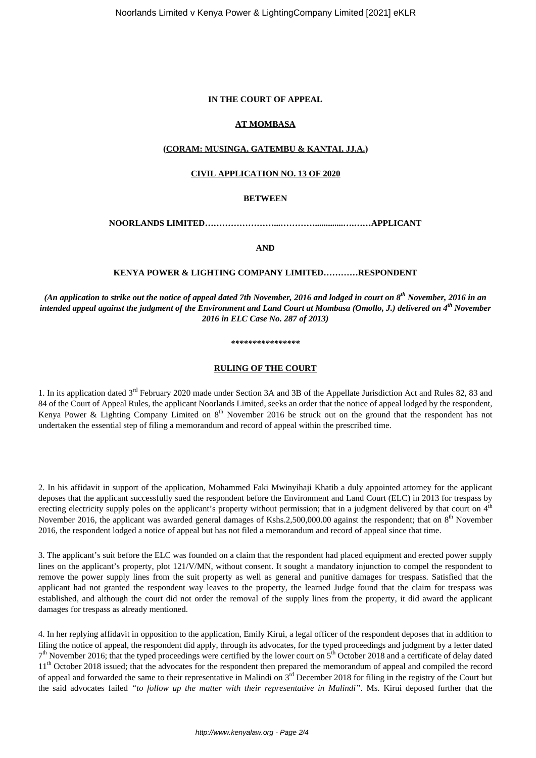### **IN THE COURT OF APPEAL**

## **AT MOMBASA**

### **(CORAM: MUSINGA, GATEMBU & KANTAI, JJ.A.)**

### **CIVIL APPLICATION NO. 13 OF 2020**

# **BETWEEN**

**NOORLANDS LIMITED……………………...………….............….……APPLICANT**

**AND**

## **KENYA POWER & LIGHTING COMPANY LIMITED…………RESPONDENT**

*(An application to strike out the notice of appeal dated 7th November, 2016 and lodged in court on 8th November, 2016 in an intended appeal against the judgment of the Environment and Land Court at Mombasa (Omollo, J.) delivered on 4th November 2016 in ELC Case No. 287 of 2013)*

#### *\*\*\*\*\*\*\*\*\*\*\*\*\*\*\*\**

### **RULING OF THE COURT**

1. In its application dated 3rd February 2020 made under Section 3A and 3B of the Appellate Jurisdiction Act and Rules 82, 83 and 84 of the Court of Appeal Rules, the applicant Noorlands Limited, seeks an order that the notice of appeal lodged by the respondent, Kenya Power & Lighting Company Limited on  $8<sup>th</sup>$  November 2016 be struck out on the ground that the respondent has not undertaken the essential step of filing a memorandum and record of appeal within the prescribed time.

2. In his affidavit in support of the application, Mohammed Faki Mwinyihaji Khatib a duly appointed attorney for the applicant deposes that the applicant successfully sued the respondent before the Environment and Land Court (ELC) in 2013 for trespass by erecting electricity supply poles on the applicant's property without permission; that in a judgment delivered by that court on 4<sup>th</sup> November 2016, the applicant was awarded general damages of Kshs.2,500,000.00 against the respondent; that on 8<sup>th</sup> November 2016, the respondent lodged a notice of appeal but has not filed a memorandum and record of appeal since that time.

3. The applicant's suit before the ELC was founded on a claim that the respondent had placed equipment and erected power supply lines on the applicant's property, plot 121/V/MN, without consent. It sought a mandatory injunction to compel the respondent to remove the power supply lines from the suit property as well as general and punitive damages for trespass. Satisfied that the applicant had not granted the respondent way leaves to the property, the learned Judge found that the claim for trespass was established, and although the court did not order the removal of the supply lines from the property, it did award the applicant damages for trespass as already mentioned.

4. In her replying affidavit in opposition to the application, Emily Kirui, a legal officer of the respondent deposes that in addition to filing the notice of appeal, the respondent did apply, through its advocates, for the typed proceedings and judgment by a letter dated 7<sup>th</sup> November 2016; that the typed proceedings were certified by the lower court on 5<sup>th</sup> October 2018 and a certificate of delay dated 11<sup>th</sup> October 2018 issued; that the advocates for the respondent then prepared the memorandum of appeal and compiled the record of appeal and forwarded the same to their representative in Malindi on  $3^{rd}$  December 2018 for filing in the registry of the Court but the said advocates failed *"to follow up the matter with their representative in Malindi"*. Ms. Kirui deposed further that the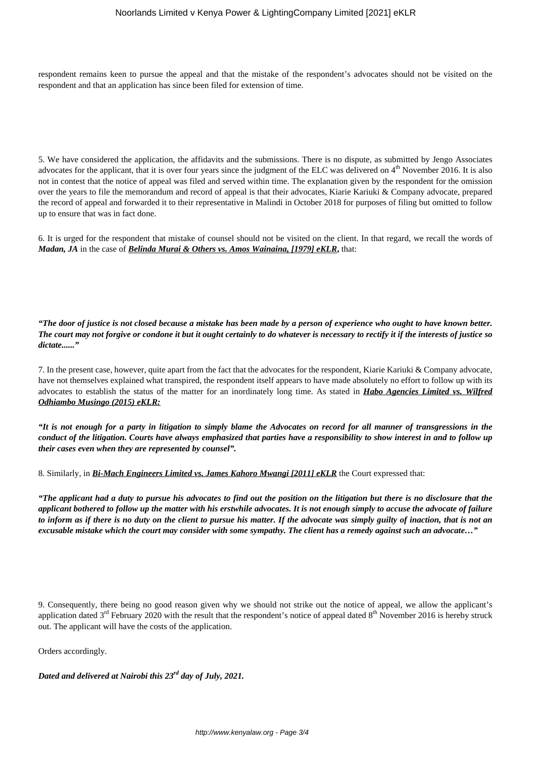respondent remains keen to pursue the appeal and that the mistake of the respondent's advocates should not be visited on the respondent and that an application has since been filed for extension of time.

5. We have considered the application, the affidavits and the submissions. There is no dispute, as submitted by Jengo Associates advocates for the applicant, that it is over four years since the judgment of the ELC was delivered on  $4<sup>th</sup>$  November 2016. It is also not in contest that the notice of appeal was filed and served within time. The explanation given by the respondent for the omission over the years to file the memorandum and record of appeal is that their advocates, Kiarie Kariuki & Company advocate, prepared the record of appeal and forwarded it to their representative in Malindi in October 2018 for purposes of filing but omitted to follow up to ensure that was in fact done.

6. It is urged for the respondent that mistake of counsel should not be visited on the client. In that regard, we recall the words of *Madan, JA* in the case of *Belinda Murai & Others vs. Amos Wainaina, [1979] eKLR***,** that:

*"The door of justice is not closed because a mistake has been made by a person of experience who ought to have known better. The court may not forgive or condone it but it ought certainly to do whatever is necessary to rectify it if the interests of justice so* dictate<sup>37</sup>

7. In the present case, however, quite apart from the fact that the advocates for the respondent, Kiarie Kariuki & Company advocate, have not themselves explained what transpired, the respondent itself appears to have made absolutely no effort to follow up with its advocates to establish the status of the matter for an inordinately long time. As stated in *Habo Agencies Limited vs. Wilfred Odhiambo Musingo (2015) eKLR:*

*"It is not enough for a party in litigation to simply blame the Advocates on record for all manner of transgressions in the conduct of the litigation. Courts have always emphasized that parties have a responsibility to show interest in and to follow up their cases even when they are represented by counsel".*

8. Similarly, in *Bi-Mach Engineers Limited vs. James Kahoro Mwangi [2011] eKLR* the Court expressed that:

*"The applicant had a duty to pursue his advocates to find out the position on the litigation but there is no disclosure that the applicant bothered to follow up the matter with his erstwhile advocates. It is not enough simply to accuse the advocate of failure to inform as if there is no duty on the client to pursue his matter. If the advocate was simply guilty of inaction, that is not an excusable mistake which the court may consider with some sympathy. The client has a remedy against such an advocate…"*

9. Consequently, there being no good reason given why we should not strike out the notice of appeal, we allow the applicant's application dated 3<sup>rd</sup> February 2020 with the result that the respondent's notice of appeal dated 8<sup>th</sup> November 2016 is hereby struck out. The applicant will have the costs of the application.

Orders accordingly.

*Dated and delivered at Nairobi this 23rd day of July, 2021.*